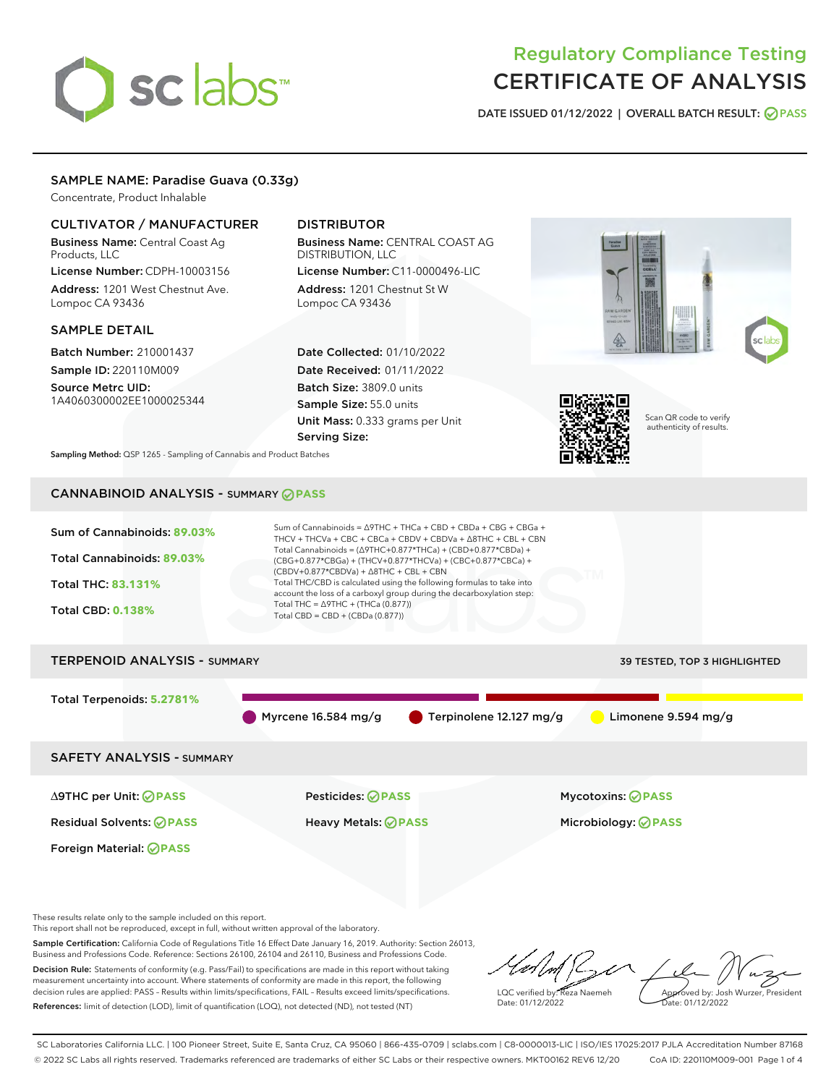# sclabs<sup>\*</sup>

# Regulatory Compliance Testing CERTIFICATE OF ANALYSIS

DATE ISSUED 01/12/2022 | OVERALL BATCH RESULT: @ PASS

# SAMPLE NAME: Paradise Guava (0.33g)

Concentrate, Product Inhalable

# CULTIVATOR / MANUFACTURER

Business Name: Central Coast Ag Products, LLC

License Number: CDPH-10003156 Address: 1201 West Chestnut Ave. Lompoc CA 93436

# SAMPLE DETAIL

Batch Number: 210001437 Sample ID: 220110M009

Source Metrc UID: 1A4060300002EE1000025344

# DISTRIBUTOR

Business Name: CENTRAL COAST AG DISTRIBUTION, LLC License Number: C11-0000496-LIC

Address: 1201 Chestnut St W Lompoc CA 93436

Date Collected: 01/10/2022 Date Received: 01/11/2022 Batch Size: 3809.0 units Sample Size: 55.0 units Unit Mass: 0.333 grams per Unit Serving Size:





Scan QR code to verify authenticity of results.

Sampling Method: QSP 1265 - Sampling of Cannabis and Product Batches

# CANNABINOID ANALYSIS - SUMMARY **PASS**



Residual Solvents: **PASS** Heavy Metals: **PASS** Microbiology: **PASS**

Foreign Material: **PASS**

These results relate only to the sample included on this report.

This report shall not be reproduced, except in full, without written approval of the laboratory.

Sample Certification: California Code of Regulations Title 16 Effect Date January 16, 2019. Authority: Section 26013, Business and Professions Code. Reference: Sections 26100, 26104 and 26110, Business and Professions Code. Decision Rule: Statements of conformity (e.g. Pass/Fail) to specifications are made in this report without taking measurement uncertainty into account. Where statements of conformity are made in this report, the following

decision rules are applied: PASS – Results within limits/specifications, FAIL – Results exceed limits/specifications. References: limit of detection (LOD), limit of quantification (LOQ), not detected (ND), not tested (NT)

LQC verified by: Reza Naemeh Date: 01/12/2022 Approved by: Josh Wurzer, President ate: 01/12/2022

SC Laboratories California LLC. | 100 Pioneer Street, Suite E, Santa Cruz, CA 95060 | 866-435-0709 | sclabs.com | C8-0000013-LIC | ISO/IES 17025:2017 PJLA Accreditation Number 87168 © 2022 SC Labs all rights reserved. Trademarks referenced are trademarks of either SC Labs or their respective owners. MKT00162 REV6 12/20 CoA ID: 220110M009-001 Page 1 of 4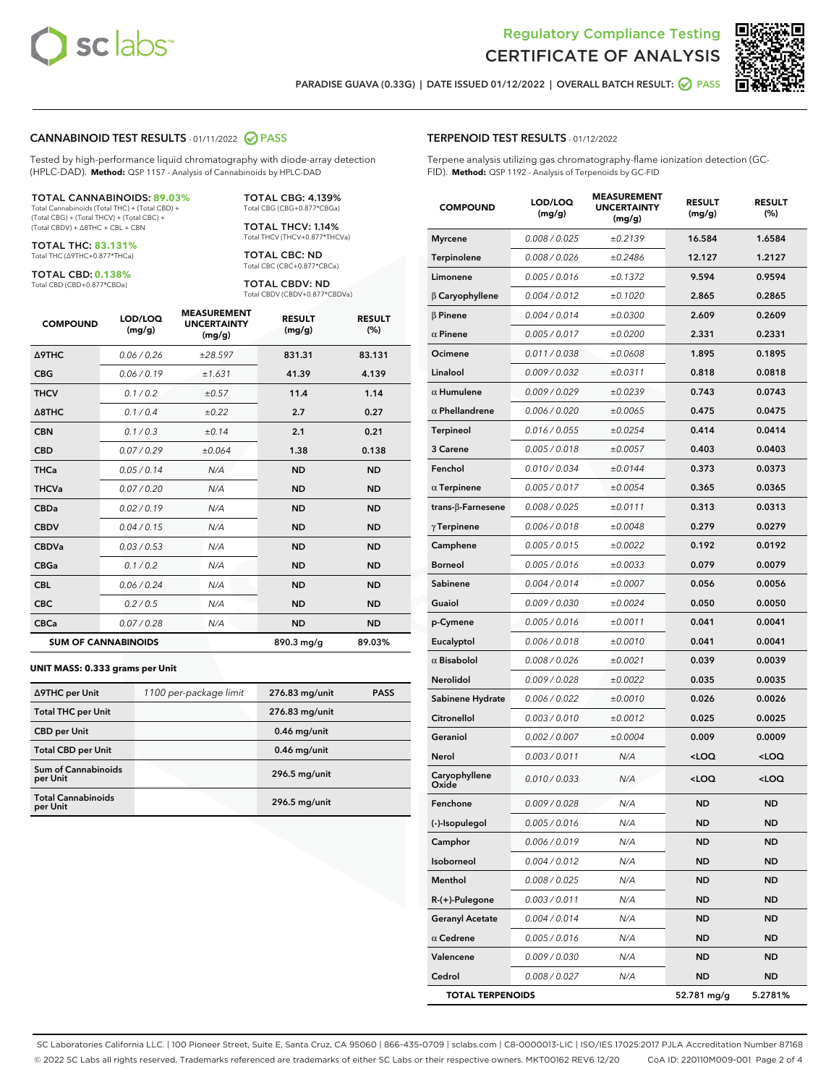



PARADISE GUAVA (0.33G) | DATE ISSUED 01/12/2022 | OVERALL BATCH RESULT: @ PASS

#### CANNABINOID TEST RESULTS - 01/11/2022 2 PASS

Tested by high-performance liquid chromatography with diode-array detection (HPLC-DAD). **Method:** QSP 1157 - Analysis of Cannabinoids by HPLC-DAD

#### TOTAL CANNABINOIDS: **89.03%**

Total Cannabinoids (Total THC) + (Total CBD) + (Total CBG) + (Total THCV) + (Total CBC) + (Total CBDV) + ∆8THC + CBL + CBN

TOTAL THC: **83.131%** Total THC (∆9THC+0.877\*THCa)

TOTAL CBD: **0.138%**

Total CBD (CBD+0.877\*CBDa)

TOTAL CBG: 4.139% Total CBG (CBG+0.877\*CBGa)

TOTAL THCV: 1.14% Total THCV (THCV+0.877\*THCVa)

TOTAL CBC: ND Total CBC (CBC+0.877\*CBCa)

TOTAL CBDV: ND Total CBDV (CBDV+0.877\*CBDVa)

| <b>COMPOUND</b>            | LOD/LOQ<br>(mg/g) | <b>MEASUREMENT</b><br><b>UNCERTAINTY</b><br>(mg/g) | <b>RESULT</b><br>(mg/g) | <b>RESULT</b><br>(%) |
|----------------------------|-------------------|----------------------------------------------------|-------------------------|----------------------|
| Δ9THC                      | 0.06 / 0.26       | ±28.597                                            | 831.31                  | 83.131               |
| <b>CBG</b>                 | 0.06 / 0.19       | ±1.631                                             | 41.39                   | 4.139                |
| <b>THCV</b>                | 0.1 / 0.2         | ±0.57                                              | 11.4                    | 1.14                 |
| $\triangle$ 8THC           | 0.1/0.4           | ±0.22                                              | 2.7                     | 0.27                 |
| <b>CBN</b>                 | 0.1/0.3           | ±0.14                                              | 2.1                     | 0.21                 |
| <b>CBD</b>                 | 0.07/0.29         | ±0.064                                             | 1.38                    | 0.138                |
| <b>THCa</b>                | 0.05/0.14         | N/A                                                | <b>ND</b>               | <b>ND</b>            |
| <b>THCVa</b>               | 0.07/0.20         | N/A                                                | <b>ND</b>               | <b>ND</b>            |
| <b>CBDa</b>                | 0.02/0.19         | N/A                                                | <b>ND</b>               | <b>ND</b>            |
| <b>CBDV</b>                | 0.04 / 0.15       | N/A                                                | <b>ND</b>               | <b>ND</b>            |
| <b>CBDVa</b>               | 0.03/0.53         | N/A                                                | <b>ND</b>               | <b>ND</b>            |
| <b>CBGa</b>                | 0.1 / 0.2         | N/A                                                | <b>ND</b>               | <b>ND</b>            |
| <b>CBL</b>                 | 0.06 / 0.24       | N/A                                                | <b>ND</b>               | <b>ND</b>            |
| <b>CBC</b>                 | 0.2 / 0.5         | N/A                                                | <b>ND</b>               | <b>ND</b>            |
| <b>CBCa</b>                | 0.07 / 0.28       | N/A                                                | <b>ND</b>               | <b>ND</b>            |
| <b>SUM OF CANNABINOIDS</b> |                   |                                                    | 890.3 mg/g              | 89.03%               |

#### **UNIT MASS: 0.333 grams per Unit**

| ∆9THC per Unit                        | 1100 per-package limit | 276.83 mg/unit | <b>PASS</b> |
|---------------------------------------|------------------------|----------------|-------------|
| <b>Total THC per Unit</b>             |                        | 276.83 mg/unit |             |
| <b>CBD per Unit</b>                   |                        | $0.46$ mg/unit |             |
| <b>Total CBD per Unit</b>             |                        | $0.46$ mg/unit |             |
| Sum of Cannabinoids<br>per Unit       |                        | 296.5 mg/unit  |             |
| <b>Total Cannabinoids</b><br>per Unit |                        | 296.5 mg/unit  |             |

| <b>COMPOUND</b>          | LOD/LOQ<br>(mg/g) | <b>MEASUREMENT</b><br><b>UNCERTAINTY</b><br>(mg/g) | <b>RESULT</b><br>(mg/g)                         | <b>RESULT</b><br>$(\%)$ |
|--------------------------|-------------------|----------------------------------------------------|-------------------------------------------------|-------------------------|
| <b>Myrcene</b>           | 0.008 / 0.025     | ±0.2139                                            | 16.584                                          | 1.6584                  |
| Terpinolene              | 0.008 / 0.026     | ±0.2486                                            | 12.127                                          | 1.2127                  |
| Limonene                 | 0.005 / 0.016     | ±0.1372                                            | 9.594                                           | 0.9594                  |
| $\beta$ Caryophyllene    | 0.004 / 0.012     | ±0.1020                                            | 2.865                                           | 0.2865                  |
| $\beta$ Pinene           | 0.004 / 0.014     | ±0.0300                                            | 2.609                                           | 0.2609                  |
| $\alpha$ Pinene          | 0.005 / 0.017     | ±0.0200                                            | 2.331                                           | 0.2331                  |
| Ocimene                  | 0.011 / 0.038     | ±0.0608                                            | 1.895                                           | 0.1895                  |
| Linalool                 | 0.009 / 0.032     | ±0.0311                                            | 0.818                                           | 0.0818                  |
| $\alpha$ Humulene        | 0.009/0.029       | ±0.0239                                            | 0.743                                           | 0.0743                  |
| $\alpha$ Phellandrene    | 0.006 / 0.020     | ±0.0065                                            | 0.475                                           | 0.0475                  |
| <b>Terpineol</b>         | 0.016 / 0.055     | ±0.0254                                            | 0.414                                           | 0.0414                  |
| 3 Carene                 | 0.005 / 0.018     | ±0.0057                                            | 0.403                                           | 0.0403                  |
| Fenchol                  | 0.010 / 0.034     | ±0.0144                                            | 0.373                                           | 0.0373                  |
| $\alpha$ Terpinene       | 0.005 / 0.017     | ±0.0054                                            | 0.365                                           | 0.0365                  |
| $trans-\beta$ -Farnesene | 0.008 / 0.025     | ±0.0111                                            | 0.313                                           | 0.0313                  |
| $\gamma$ Terpinene       | 0.006 / 0.018     | ±0.0048                                            | 0.279                                           | 0.0279                  |
| Camphene                 | 0.005 / 0.015     | ±0.0022                                            | 0.192                                           | 0.0192                  |
| <b>Borneol</b>           | 0.005 / 0.016     | ±0.0033                                            | 0.079                                           | 0.0079                  |
| Sabinene                 | 0.004 / 0.014     | ±0.0007                                            | 0.056                                           | 0.0056                  |
| Guaiol                   | 0.009 / 0.030     | ±0.0024                                            | 0.050                                           | 0.0050                  |
| p-Cymene                 | 0.005 / 0.016     | ±0.0011                                            | 0.041                                           | 0.0041                  |
| Eucalyptol               | 0.006 / 0.018     | ±0.0010                                            | 0.041                                           | 0.0041                  |
| $\alpha$ Bisabolol       | 0.008 / 0.026     | ±0.0021                                            | 0.039                                           | 0.0039                  |
| Nerolidol                | 0.009 / 0.028     | ±0.0022                                            | 0.035                                           | 0.0035                  |
| Sabinene Hydrate         | 0.006 / 0.022     | ±0.0010                                            | 0.026                                           | 0.0026                  |
| Citronellol              | 0.003 / 0.010     | ±0.0012                                            | 0.025                                           | 0.0025                  |
| Geraniol                 | 0.002 / 0.007     | ±0.0004                                            | 0.009                                           | 0.0009                  |
| Nerol                    | 0.003 / 0.011     | N/A                                                | <loq< th=""><th><loq< th=""></loq<></th></loq<> | <loq< th=""></loq<>     |
| Caryophyllene<br>Oxide   | 0.010 / 0.033     | N/A                                                | <loq< th=""><th><loq< th=""></loq<></th></loq<> | <loq< th=""></loq<>     |
| Fenchone                 | 0.009 / 0.028     | N/A                                                | ND                                              | ND                      |
| (-)-Isopulegol           | 0.005 / 0.016     | N/A                                                | ND                                              | ND                      |
| Camphor                  | 0.006 / 0.019     | N/A                                                | ND                                              | ND                      |
| Isoborneol               | 0.004 / 0.012     | N/A                                                | ND                                              | ND                      |
| Menthol                  | 0.008 / 0.025     | N/A                                                | ND                                              | ND                      |
| R-(+)-Pulegone           | 0.003 / 0.011     | N/A                                                | ND                                              | ND                      |
| <b>Geranyl Acetate</b>   | 0.004 / 0.014     | N/A                                                | ND                                              | ND                      |
| $\alpha$ Cedrene         | 0.005 / 0.016     | N/A                                                | <b>ND</b>                                       | ND                      |
| Valencene                | 0.009 / 0.030     | N/A                                                | ND                                              | ND                      |
| Cedrol                   | 0.008 / 0.027     | N/A                                                | <b>ND</b>                                       | <b>ND</b>               |
| <b>TOTAL TERPENOIDS</b>  |                   |                                                    | 52.781 mg/g                                     | 5.2781%                 |

SC Laboratories California LLC. | 100 Pioneer Street, Suite E, Santa Cruz, CA 95060 | 866-435-0709 | sclabs.com | C8-0000013-LIC | ISO/IES 17025:2017 PJLA Accreditation Number 87168 © 2022 SC Labs all rights reserved. Trademarks referenced are trademarks of either SC Labs or their respective owners. MKT00162 REV6 12/20 CoA ID: 220110M009-001 Page 2 of 4

# TERPENOID TEST RESULTS - 01/12/2022

Terpene analysis utilizing gas chromatography-flame ionization detection (GC-FID). **Method:** QSP 1192 - Analysis of Terpenoids by GC-FID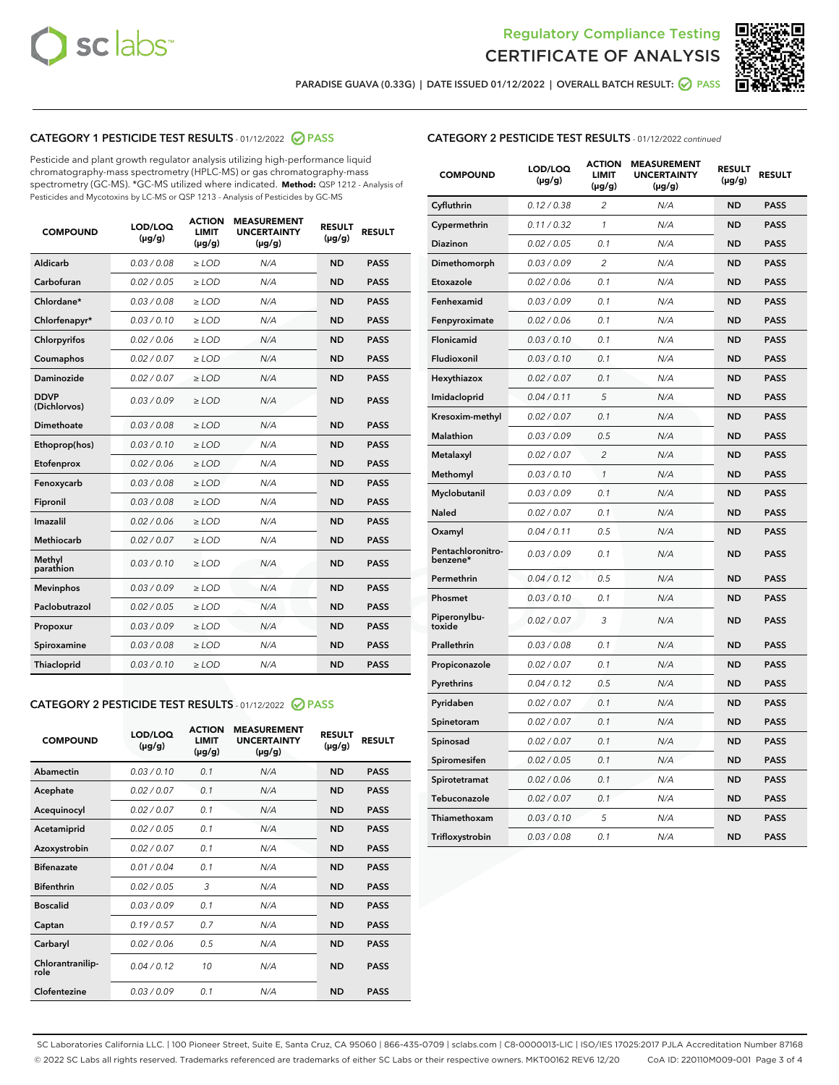



PARADISE GUAVA (0.33G) | DATE ISSUED 01/12/2022 | OVERALL BATCH RESULT: @ PASS

# CATEGORY 1 PESTICIDE TEST RESULTS - 01/12/2022 2 PASS

Pesticide and plant growth regulator analysis utilizing high-performance liquid chromatography-mass spectrometry (HPLC-MS) or gas chromatography-mass spectrometry (GC-MS). \*GC-MS utilized where indicated. **Method:** QSP 1212 - Analysis of Pesticides and Mycotoxins by LC-MS or QSP 1213 - Analysis of Pesticides by GC-MS

| <b>COMPOUND</b>             | LOD/LOQ<br>$(\mu g/g)$ | <b>ACTION</b><br><b>LIMIT</b><br>$(\mu g/g)$ | <b>MEASUREMENT</b><br><b>UNCERTAINTY</b><br>$(\mu g/g)$ | <b>RESULT</b><br>$(\mu g/g)$ | <b>RESULT</b> |
|-----------------------------|------------------------|----------------------------------------------|---------------------------------------------------------|------------------------------|---------------|
| Aldicarb                    | 0.03 / 0.08            | $\ge$ LOD                                    | N/A                                                     | <b>ND</b>                    | <b>PASS</b>   |
| Carbofuran                  | 0.02 / 0.05            | $\ge$ LOD                                    | N/A                                                     | <b>ND</b>                    | <b>PASS</b>   |
| Chlordane*                  | 0.03 / 0.08            | $\ge$ LOD                                    | N/A                                                     | <b>ND</b>                    | <b>PASS</b>   |
| Chlorfenapyr*               | 0.03/0.10              | $\ge$ LOD                                    | N/A                                                     | <b>ND</b>                    | <b>PASS</b>   |
| Chlorpyrifos                | 0.02 / 0.06            | $\ge$ LOD                                    | N/A                                                     | <b>ND</b>                    | <b>PASS</b>   |
| Coumaphos                   | 0.02 / 0.07            | $\ge$ LOD                                    | N/A                                                     | <b>ND</b>                    | <b>PASS</b>   |
| Daminozide                  | 0.02 / 0.07            | $\ge$ LOD                                    | N/A                                                     | <b>ND</b>                    | <b>PASS</b>   |
| <b>DDVP</b><br>(Dichlorvos) | 0.03/0.09              | $\ge$ LOD                                    | N/A                                                     | <b>ND</b>                    | <b>PASS</b>   |
| Dimethoate                  | 0.03 / 0.08            | $\ge$ LOD                                    | N/A                                                     | <b>ND</b>                    | <b>PASS</b>   |
| Ethoprop(hos)               | 0.03/0.10              | $\ge$ LOD                                    | N/A                                                     | <b>ND</b>                    | <b>PASS</b>   |
| Etofenprox                  | 0.02/0.06              | $>$ LOD                                      | N/A                                                     | <b>ND</b>                    | <b>PASS</b>   |
| Fenoxycarb                  | 0.03 / 0.08            | $>$ LOD                                      | N/A                                                     | <b>ND</b>                    | <b>PASS</b>   |
| Fipronil                    | 0.03 / 0.08            | $>$ LOD                                      | N/A                                                     | <b>ND</b>                    | <b>PASS</b>   |
| Imazalil                    | 0.02 / 0.06            | $\ge$ LOD                                    | N/A                                                     | <b>ND</b>                    | <b>PASS</b>   |
| <b>Methiocarb</b>           | 0.02 / 0.07            | $\ge$ LOD                                    | N/A                                                     | <b>ND</b>                    | <b>PASS</b>   |
| Methyl<br>parathion         | 0.03/0.10              | $\ge$ LOD                                    | N/A                                                     | <b>ND</b>                    | <b>PASS</b>   |
| <b>Mevinphos</b>            | 0.03/0.09              | $\ge$ LOD                                    | N/A                                                     | <b>ND</b>                    | <b>PASS</b>   |
| Paclobutrazol               | 0.02 / 0.05            | $\ge$ LOD                                    | N/A                                                     | <b>ND</b>                    | <b>PASS</b>   |
| Propoxur                    | 0.03/0.09              | $\ge$ LOD                                    | N/A                                                     | <b>ND</b>                    | <b>PASS</b>   |
| Spiroxamine                 | 0.03 / 0.08            | $\ge$ LOD                                    | N/A                                                     | <b>ND</b>                    | <b>PASS</b>   |
| Thiacloprid                 | 0.03/0.10              | $\ge$ LOD                                    | N/A                                                     | <b>ND</b>                    | <b>PASS</b>   |

# CATEGORY 2 PESTICIDE TEST RESULTS - 01/12/2022 2 PASS

| <b>COMPOUND</b>          | LOD/LOO<br>$(\mu g/g)$ | <b>ACTION</b><br>LIMIT<br>$(\mu g/g)$ | <b>MEASUREMENT</b><br><b>UNCERTAINTY</b><br>$(\mu g/g)$ | <b>RESULT</b><br>$(\mu g/g)$ | <b>RESULT</b> |  |
|--------------------------|------------------------|---------------------------------------|---------------------------------------------------------|------------------------------|---------------|--|
| Abamectin                | 0.03/0.10              | 0.1                                   | N/A                                                     | <b>ND</b>                    | <b>PASS</b>   |  |
| Acephate                 | 0.02/0.07              | 0.1                                   | N/A                                                     | <b>ND</b>                    | <b>PASS</b>   |  |
| Acequinocyl              | 0.02/0.07              | 0.1                                   | N/A                                                     | <b>ND</b>                    | <b>PASS</b>   |  |
| Acetamiprid              | 0.02 / 0.05            | 0.1                                   | N/A                                                     | <b>ND</b>                    | <b>PASS</b>   |  |
| Azoxystrobin             | 0.02/0.07              | 0.1                                   | N/A                                                     | <b>ND</b>                    | <b>PASS</b>   |  |
| <b>Bifenazate</b>        | 0.01 / 0.04            | 0.1                                   | N/A                                                     | <b>ND</b>                    | <b>PASS</b>   |  |
| <b>Bifenthrin</b>        | 0.02 / 0.05            | 3                                     | N/A                                                     | <b>ND</b>                    | <b>PASS</b>   |  |
| <b>Boscalid</b>          | 0.03/0.09              | 0.1                                   | N/A                                                     | <b>ND</b>                    | <b>PASS</b>   |  |
| Captan                   | 0.19/0.57              | 0.7                                   | N/A                                                     | <b>ND</b>                    | <b>PASS</b>   |  |
| Carbaryl                 | 0.02/0.06              | 0.5                                   | N/A                                                     | <b>ND</b>                    | <b>PASS</b>   |  |
| Chlorantranilip-<br>role | 0.04/0.12              | 10                                    | N/A                                                     | <b>ND</b>                    | <b>PASS</b>   |  |
| Clofentezine             | 0.03/0.09              | 0.1                                   | N/A                                                     | <b>ND</b>                    | <b>PASS</b>   |  |

| <b>COMPOUND</b>               | LOD/LOQ<br>(µg/g) | <b>ACTION</b><br><b>LIMIT</b><br>(µg/g) | <b>MEASUREMENT</b><br><b>UNCERTAINTY</b><br>$(\mu g/g)$ | <b>RESULT</b><br>(µg/g) | <b>RESULT</b> |
|-------------------------------|-------------------|-----------------------------------------|---------------------------------------------------------|-------------------------|---------------|
| Cyfluthrin                    | 0.12 / 0.38       | $\overline{c}$                          | N/A                                                     | <b>ND</b>               | <b>PASS</b>   |
| Cypermethrin                  | 0.11 / 0.32       | 1                                       | N/A                                                     | <b>ND</b>               | <b>PASS</b>   |
| <b>Diazinon</b>               | 0.02 / 0.05       | 0.1                                     | N/A                                                     | <b>ND</b>               | <b>PASS</b>   |
| Dimethomorph                  | 0.03 / 0.09       | 2                                       | N/A                                                     | <b>ND</b>               | <b>PASS</b>   |
| Etoxazole                     | 0.02 / 0.06       | 0.1                                     | N/A                                                     | <b>ND</b>               | <b>PASS</b>   |
| Fenhexamid                    | 0.03 / 0.09       | 0.1                                     | N/A                                                     | <b>ND</b>               | <b>PASS</b>   |
| Fenpyroximate                 | 0.02 / 0.06       | 0.1                                     | N/A                                                     | <b>ND</b>               | <b>PASS</b>   |
| Flonicamid                    | 0.03 / 0.10       | 0.1                                     | N/A                                                     | <b>ND</b>               | <b>PASS</b>   |
| Fludioxonil                   | 0.03 / 0.10       | 0.1                                     | N/A                                                     | <b>ND</b>               | <b>PASS</b>   |
| Hexythiazox                   | 0.02 / 0.07       | 0.1                                     | N/A                                                     | <b>ND</b>               | <b>PASS</b>   |
| Imidacloprid                  | 0.04 / 0.11       | 5                                       | N/A                                                     | <b>ND</b>               | <b>PASS</b>   |
| Kresoxim-methyl               | 0.02 / 0.07       | 0.1                                     | N/A                                                     | <b>ND</b>               | <b>PASS</b>   |
| Malathion                     | 0.03 / 0.09       | 0.5                                     | N/A                                                     | <b>ND</b>               | <b>PASS</b>   |
| Metalaxyl                     | 0.02 / 0.07       | $\overline{c}$                          | N/A                                                     | <b>ND</b>               | <b>PASS</b>   |
| Methomyl                      | 0.03 / 0.10       | $\mathcal{I}$                           | N/A                                                     | <b>ND</b>               | <b>PASS</b>   |
| Myclobutanil                  | 0.03 / 0.09       | 0.1                                     | N/A                                                     | <b>ND</b>               | <b>PASS</b>   |
| <b>Naled</b>                  | 0.02 / 0.07       | 0.1                                     | N/A                                                     | <b>ND</b>               | <b>PASS</b>   |
| Oxamyl                        | 0.04 / 0.11       | 0.5                                     | N/A                                                     | <b>ND</b>               | <b>PASS</b>   |
| Pentachloronitro-<br>benzene* | 0.03/0.09         | 0.1                                     | N/A                                                     | <b>ND</b>               | <b>PASS</b>   |
| Permethrin                    | 0.04 / 0.12       | 0.5                                     | N/A                                                     | <b>ND</b>               | <b>PASS</b>   |
| Phosmet                       | 0.03 / 0.10       | 0.1                                     | N/A                                                     | <b>ND</b>               | <b>PASS</b>   |
| Piperonylbu-<br>toxide        | 0.02 / 0.07       | 3                                       | N/A                                                     | <b>ND</b>               | <b>PASS</b>   |
| Prallethrin                   | 0.03 / 0.08       | 0.1                                     | N/A                                                     | <b>ND</b>               | <b>PASS</b>   |
| Propiconazole                 | 0.02 / 0.07       | 0.1                                     | N/A                                                     | <b>ND</b>               | <b>PASS</b>   |
| Pyrethrins                    | 0.04 / 0.12       | 0.5                                     | N/A                                                     | <b>ND</b>               | <b>PASS</b>   |
| Pyridaben                     | 0.02 / 0.07       | 0.1                                     | N/A                                                     | <b>ND</b>               | <b>PASS</b>   |
| Spinetoram                    | 0.02 / 0.07       | 0.1                                     | N/A                                                     | <b>ND</b>               | <b>PASS</b>   |
| Spinosad                      | 0.02 / 0.07       | 0.1                                     | N/A                                                     | <b>ND</b>               | <b>PASS</b>   |
| Spiromesifen                  | 0.02 / 0.05       | 0.1                                     | N/A                                                     | <b>ND</b>               | <b>PASS</b>   |
| Spirotetramat                 | 0.02 / 0.06       | 0.1                                     | N/A                                                     | ND                      | <b>PASS</b>   |
| Tebuconazole                  | 0.02 / 0.07       | 0.1                                     | N/A                                                     | <b>ND</b>               | <b>PASS</b>   |
| Thiamethoxam                  | 0.03 / 0.10       | 5                                       | N/A                                                     | <b>ND</b>               | <b>PASS</b>   |
| Trifloxystrobin               | 0.03 / 0.08       | 0.1                                     | N/A                                                     | <b>ND</b>               | <b>PASS</b>   |

SC Laboratories California LLC. | 100 Pioneer Street, Suite E, Santa Cruz, CA 95060 | 866-435-0709 | sclabs.com | C8-0000013-LIC | ISO/IES 17025:2017 PJLA Accreditation Number 87168 © 2022 SC Labs all rights reserved. Trademarks referenced are trademarks of either SC Labs or their respective owners. MKT00162 REV6 12/20 CoA ID: 220110M009-001 Page 3 of 4